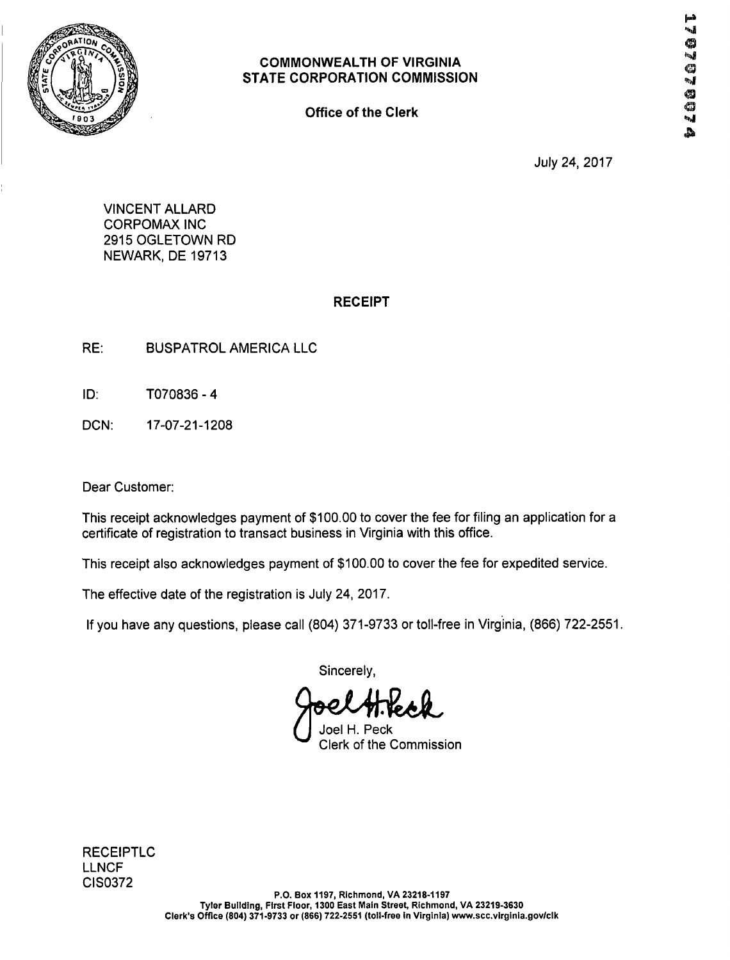

Office of the Clerk

July 24, 2017

VINCENT ALLARD CORPOMAX INC 2915 OGLETOWN RD NEWARK, DE 19713

#### RECEIPT

- RE: BUSPATROL AMERICA LLC
- ID: T070836- 4
- DCN: 17-07-21-1208

Dear Customer:

This receipt acknowledges payment of \$100.00 to cover the fee for filing an application for a certificate of registration to transact business in Virginia with this office.

This receipt also acknowledges payment of \$100.00 to cover the fee for expedited service.

The effective date of the registration is July 24, 2017.

If you have any questions, please call (804) 371-9733 or toll-free in Virginia, (866) 722-2551.

Sincerely,

Joel H. Peck Clerk of the Commission

RECEIPTLC LLNCF CIS0372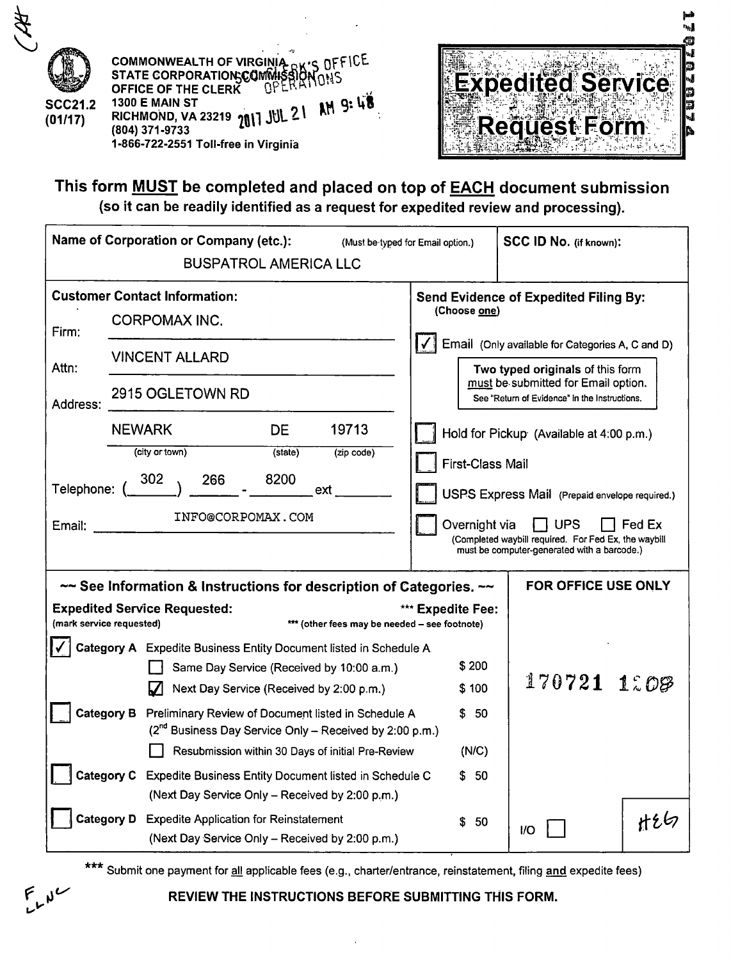



p

This form MUST be completed and placed on top of EACH document submission (so it can be readily identified as a request for expedited review and processing).

|                                                    | <b>Name of Corporation or Company (etc.):</b><br><b>BUSPATROL AMERICA LLC</b>                                                                                                                                                                                                                                                                                                                                                                                                                                                                                                                                                                                      | (Must be typed for Email option.)                            | SCC ID No. (if known):                                                                                                                                                                                                                                                                                                                                                                                                                          |        |
|----------------------------------------------------|--------------------------------------------------------------------------------------------------------------------------------------------------------------------------------------------------------------------------------------------------------------------------------------------------------------------------------------------------------------------------------------------------------------------------------------------------------------------------------------------------------------------------------------------------------------------------------------------------------------------------------------------------------------------|--------------------------------------------------------------|-------------------------------------------------------------------------------------------------------------------------------------------------------------------------------------------------------------------------------------------------------------------------------------------------------------------------------------------------------------------------------------------------------------------------------------------------|--------|
| Firm:<br>Attn:<br>Address:<br>Telephone:<br>Email: | <b>Customer Contact Information:</b><br>CORPOMAX INC.<br><b>VINCENT ALLARD</b><br>2915 OGLETOWN RD<br><b>NEWARK</b><br><b>DE</b><br>19713<br>(city or town)<br>(state)<br>(zip code)<br>302<br>8200<br>266<br>ext.<br>INFO@CORPOMAX.COM                                                                                                                                                                                                                                                                                                                                                                                                                            | (Choose one)<br><b>First-Class Mail</b><br>Overnight via     | <b>Send Evidence of Expedited Filing By:</b><br>Email (Only available for Categories A, C and D)<br>Two typed originals of this form<br>must be submitted for Email option.<br>See "Return of Evidence" in the Instructions.<br>Hold for Pickup (Available at 4:00 p.m.)<br>USPS Express Mail (Prepaid envelope required.)<br><b>UPS</b><br>(Completed waybill required. For Fed Ex, the waybill<br>must be computer-generated with a barcode.) | Fed Ex |
| (mark service requested)                           | $\sim$ See Information & Instructions for description of Categories. $\sim$<br><b>Expedited Service Requested:</b><br>*** (other fees may be needed - see footnote)<br>Category A Expedite Business Entity Document listed in Schedule A.<br>Same Day Service (Received by 10:00 a.m.)<br>Next Day Service (Received by 2:00 p.m.)<br><b>Category B</b><br>Preliminary Review of Document listed in Schedule A<br>(2 <sup>nd</sup> Business Day Service Only - Received by 2:00 p.m.)<br>Resubmission within 30 Days of initial Pre-Review<br>Category C Expedite Business Entity Document listed in Schedule C<br>(Next Day Service Only - Received by 2:00 p.m.) | *** Expedite Fee:<br>\$200<br>\$100<br>\$50<br>(N/C)<br>\$50 | <b>FOR OFFICE USE ONLY</b><br>170721 1808                                                                                                                                                                                                                                                                                                                                                                                                       |        |
|                                                    | <b>Category D</b><br><b>Expedite Application for Reinstatement</b><br>(Next Day Service Only - Received by 2:00 p.m.)                                                                                                                                                                                                                                                                                                                                                                                                                                                                                                                                              | \$50                                                         | IO                                                                                                                                                                                                                                                                                                                                                                                                                                              | H26    |

\*\*\* Submit one payment for all applicable fees (e.g., charter/entrance, reinstatement, filing and expedite fees)



REVIEW THE INSTRUCTIONS BEFORE SUBMITTING THIS FORM.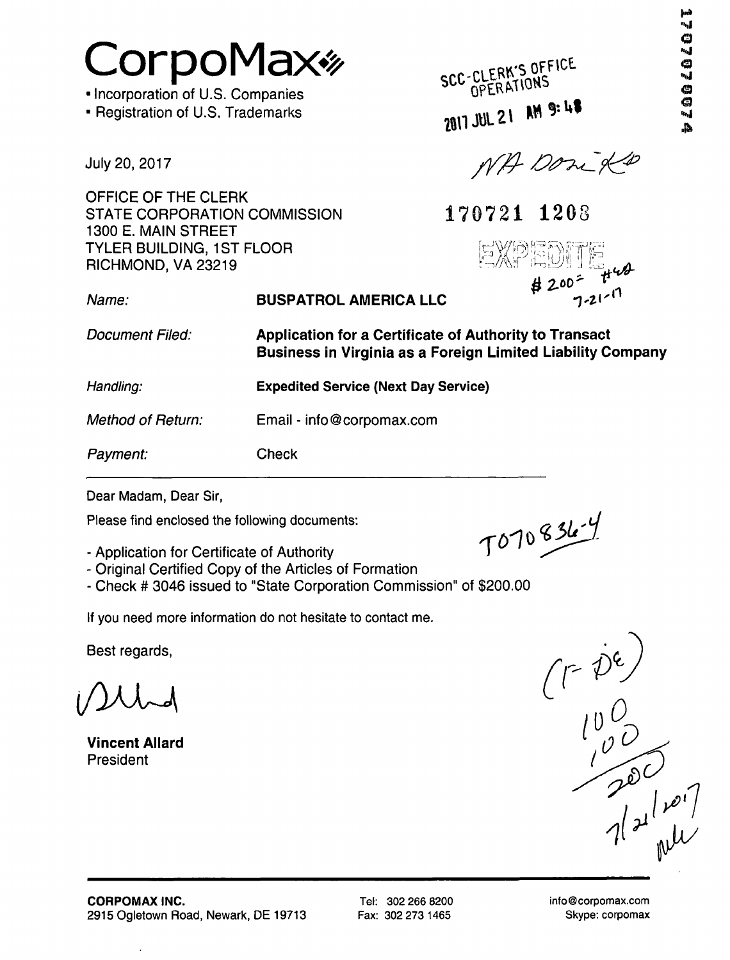Tel: 302 266 8200 Fax: 302 273 1465

Skype: corpomax

# CorpoMax\*

• Incorporation of U.S. Companies

• Registration of U.S. Trademarks

July 20, 2017

OFFICE OF THE CLERK STATE CORPORATION COMMISSION 1300 E. MAIN STREET TYLER BUILDING, 1ST FLOOR RICHMOND, VA 23219

SCC-CLERK'S OFFICE 2017 JUL 21 AM 9:48

NA Don XD

170721 1203 XPEDI! two  $# 200 = \frac{100}{7.215}$ 

Name: Document Filed: Handling: Method of Return: Payment: BUSPATROL AMERICA LLC Application for a Certificate of Authority to Transact Business in Virginia as a Foreign Limited Liability Company Expedited Service (Next Day Service) Email - info@corpomax.com Check

Dear Madam, Dear Sir,

Please find enclosed the following documents:

- Application for Certificate of Authority
- Original Certified Copy of the Articles of Formation
- Check # 3046 issued to "State Corporation Commission" of \$200.00

If you need more information do not hesitate to contact me.

Best regards,

i/KUH

Vincent Allard President

 $\ddot{\phantom{1}}$ 

T070836-4

 $(1-\rho^2)$ <br> $\frac{100}{100}$ <br> $\frac{100}{100}$ <br> $\frac{1}{100}$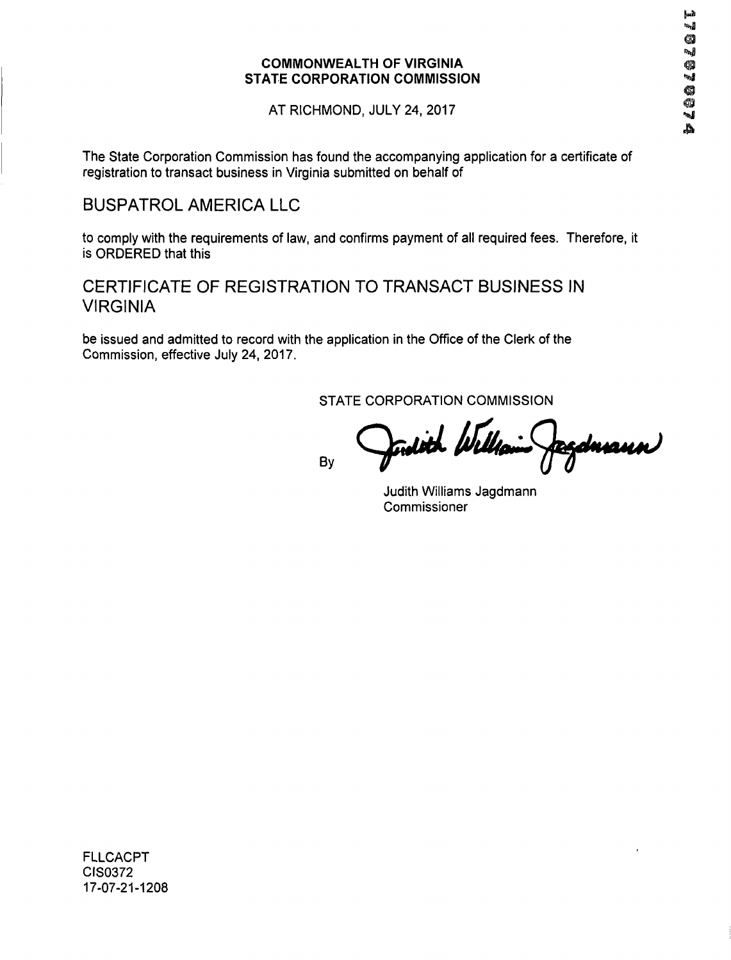AT RICHMOND, JULY 24, 2017

The State Corporation Commission has found the accompanying application for a certificate of registration to transact business in Virginia submitted on behalf of

#### BUSPATROL AMERICA LLC

to comply with the requirements of law, and confirms payment of all required fees. Therefore, it is ORDERED that this

#### CERTIFICATE OF REGISTRATION TO TRANSACT BUSINESS IN VIRGINIA

be issued and admitted to record with the application in the Office of the Clerk of the Commission, effective July 24, 2017.

STATE CORPORATION COMMISSION

By

dith fl zduann)

Judith Williams Jagdmann Commissioner

FLLCACPT CIS0372 17-07-21-1208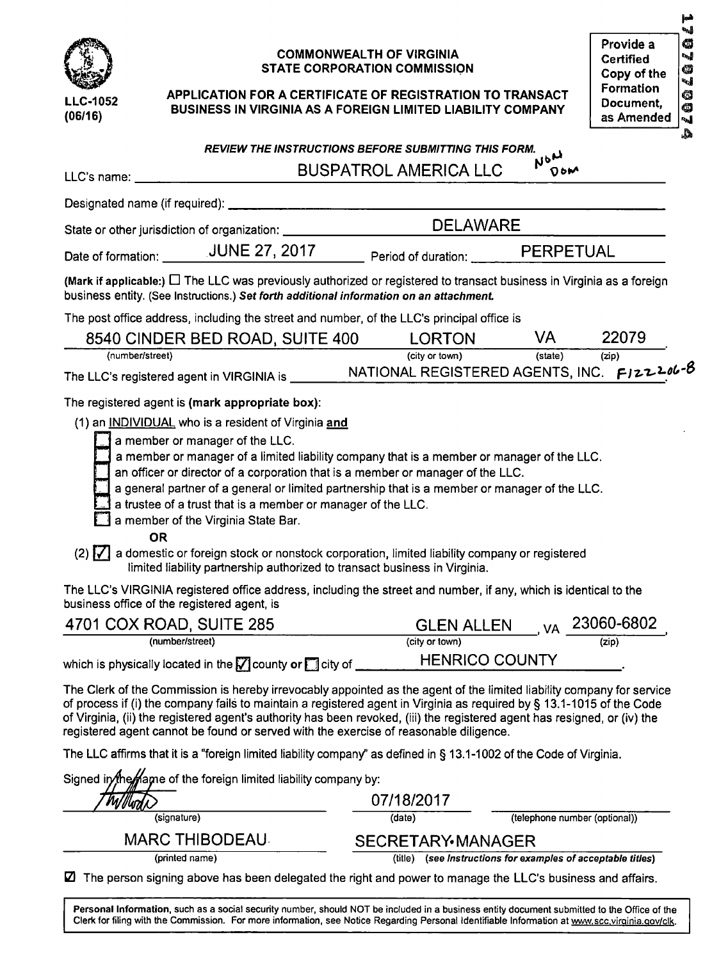

(06/16)

#### COMMONWEALTH OF VIRGINIA STATE CORPORATION COMMISSION

| APPLICATION FOR A CERTIFICATE OF REGISTRATION TO TRANSACT          |
|--------------------------------------------------------------------|
| <b>BUSINESS IN VIRGINIA AS A FOREIGN LIMITED LIABILITY COMPANY</b> |

## A

|                                                 | <b>REVIEW THE INSTRUCTIONS BEFORE SUBMITTING THIS FORM.</b>                                                                                                                                                                                                                                                                                                                                                                                                                                                                                                                                                                                                                              |                                     | NON        |       |  |
|-------------------------------------------------|------------------------------------------------------------------------------------------------------------------------------------------------------------------------------------------------------------------------------------------------------------------------------------------------------------------------------------------------------------------------------------------------------------------------------------------------------------------------------------------------------------------------------------------------------------------------------------------------------------------------------------------------------------------------------------------|-------------------------------------|------------|-------|--|
| LLC's name:                                     |                                                                                                                                                                                                                                                                                                                                                                                                                                                                                                                                                                                                                                                                                          | <b>BUSPATROL AMERICA LLC</b>        | <b>DOM</b> |       |  |
| Designated name (if required): __________       |                                                                                                                                                                                                                                                                                                                                                                                                                                                                                                                                                                                                                                                                                          |                                     |            |       |  |
|                                                 | State or other jurisdiction of organization: __________                                                                                                                                                                                                                                                                                                                                                                                                                                                                                                                                                                                                                                  | <b>DELAWARE</b>                     |            |       |  |
|                                                 | Date of formation: ________JUNE 27, 2017 Period of duration: ________ PERPETUAL                                                                                                                                                                                                                                                                                                                                                                                                                                                                                                                                                                                                          |                                     |            |       |  |
|                                                 | (Mark if applicable:) $\Box$ The LLC was previously authorized or registered to transact business in Virginia as a foreign<br>business entity. (See Instructions.) Set forth additional information on an attachment.                                                                                                                                                                                                                                                                                                                                                                                                                                                                    |                                     |            |       |  |
|                                                 | The post office address, including the street and number, of the LLC's principal office is                                                                                                                                                                                                                                                                                                                                                                                                                                                                                                                                                                                               |                                     |            |       |  |
|                                                 | 8540 CINDER BED ROAD, SUITE 400                                                                                                                                                                                                                                                                                                                                                                                                                                                                                                                                                                                                                                                          | <b>LORTON</b>                       | VA.        | 22079 |  |
| (number/street)                                 |                                                                                                                                                                                                                                                                                                                                                                                                                                                                                                                                                                                                                                                                                          | (city or town)                      | (state)    | (zip) |  |
|                                                 |                                                                                                                                                                                                                                                                                                                                                                                                                                                                                                                                                                                                                                                                                          |                                     |            |       |  |
| The registered agent is (mark appropriate box): |                                                                                                                                                                                                                                                                                                                                                                                                                                                                                                                                                                                                                                                                                          |                                     |            |       |  |
| <b>OR</b>                                       | (1) an INDIVIDUAL who is a resident of Virginia and<br>a member or manager of the LLC.<br>a member or manager of a limited liability company that is a member or manager of the LLC.<br>an officer or director of a corporation that is a member or manager of the LLC.<br>a general partner of a general or limited partnership that is a member or manager of the LLC.<br>a trustee of a trust that is a member or manager of the LLC.<br>a member of the Virginia State Bar.<br>$(2)$ $\sqrt{\phantom{a}}$ a domestic or foreign stock or nonstock corporation, limited liability company or registered<br>limited liability partnership authorized to transact business in Virginia. |                                     |            |       |  |
| business office of the registered agent, is     | The LLC's VIRGINIA registered office address, including the street and number, if any, which is identical to the                                                                                                                                                                                                                                                                                                                                                                                                                                                                                                                                                                         |                                     |            |       |  |
| 4701 COX ROAD, SUITE 285                        |                                                                                                                                                                                                                                                                                                                                                                                                                                                                                                                                                                                                                                                                                          | GLEN ALLEN <sub>VA</sub> 23060-6802 |            |       |  |
| (number/street)                                 |                                                                                                                                                                                                                                                                                                                                                                                                                                                                                                                                                                                                                                                                                          | (city or town)                      |            | (zip) |  |
|                                                 | which is physically located in the M county or M city of _________                                                                                                                                                                                                                                                                                                                                                                                                                                                                                                                                                                                                                       | <b>HENRICO COUNTY</b>               |            |       |  |
|                                                 | The Clerk of the Commission is hereby irrevocably appointed as the agent of the limited liability company for service<br>of process if (i) the company fails to maintain a registered agent in Virginia as required by § 13.1-1015 of the Code<br>of Virginia, (ii) the registered agent's authority has been revoked, (iii) the registered agent has resigned, or (iv) the<br>registered agent cannot be found or served with the exercise of reasonable diligence.                                                                                                                                                                                                                     |                                     |            |       |  |
|                                                 | The LLC affirms that it is a "foreign limited liability company" as defined in § 13.1-1002 of the Code of Virginia.                                                                                                                                                                                                                                                                                                                                                                                                                                                                                                                                                                      |                                     |            |       |  |
|                                                 | Signed in the manne of the foreign limited liability company by:                                                                                                                                                                                                                                                                                                                                                                                                                                                                                                                                                                                                                         | 07/18/2017                          |            |       |  |

| Signed if ying play to the foreign immediability company by.                                                |                   |                                                      |
|-------------------------------------------------------------------------------------------------------------|-------------------|------------------------------------------------------|
| WWwdD                                                                                                       | 07/18/2017        |                                                      |
| (signature)                                                                                                 | (date)            | (telephone number (optional))                        |
| <b>MARC THIBODEAU</b>                                                                                       | SECRETARY MANAGER |                                                      |
| (printed name)                                                                                              | (title)           | (see Instructions for examples of acceptable titles) |
| ■ The person signing above has been delegated the right and power to manage the LLC's business and affairs. |                   |                                                      |

Personal Information, such as a social security number, should NOT be included in a business entity document submitted to the Office of the Clerk for filing with the Commission. For more information, see Notice Regarding Personal Identifiable Information at www.scc.virginia.gov/clk.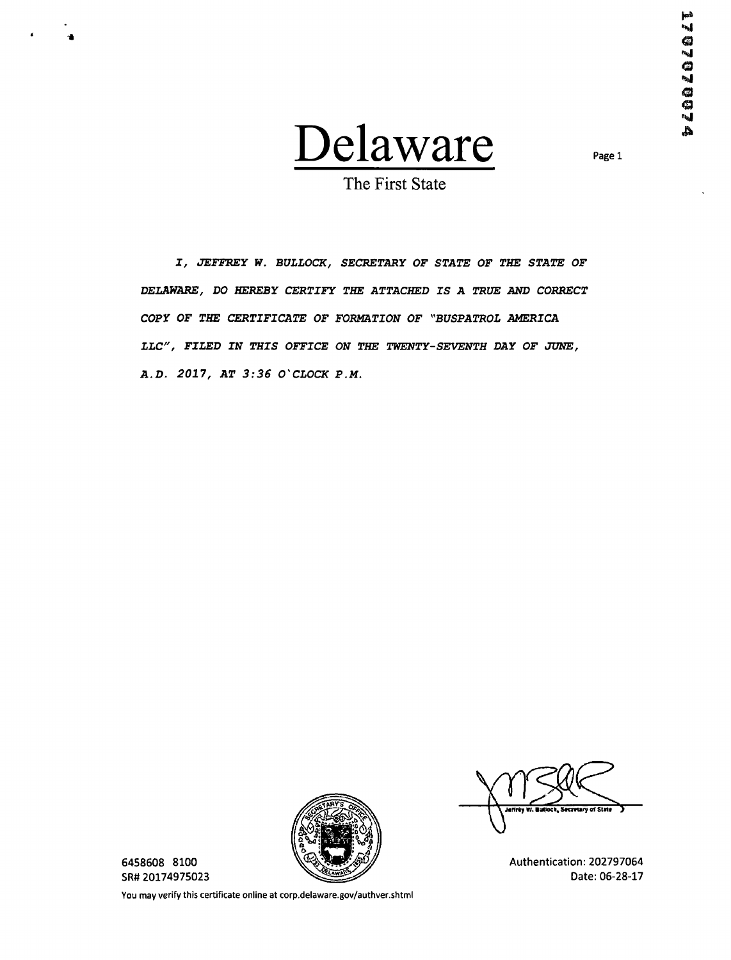

Page 1

The First State

X, JEFFREY W. BULLOCK, SECRETARY OF STATE OF THE STATE OF DELAWARE, DO HEREBY CERTIFY THE ATTACHED IS A TRUE AND CORRECT COPY OF THE CERTIFICATE OF FORMATION OF "BUSPATROL AMERICA LLC", FILED IN THIS OFFICE ON THE TWENTY-SEVENTH DAY OF JUNE, A.D. 2017, AT 3:36 O'CLOCK P.M.



6458608 8100 SR# 20174975023

You may verify this certificate online at corp.delaware.gov/authver.shtml

cretary of State

Authentication: 202797064 Date: 06-28-17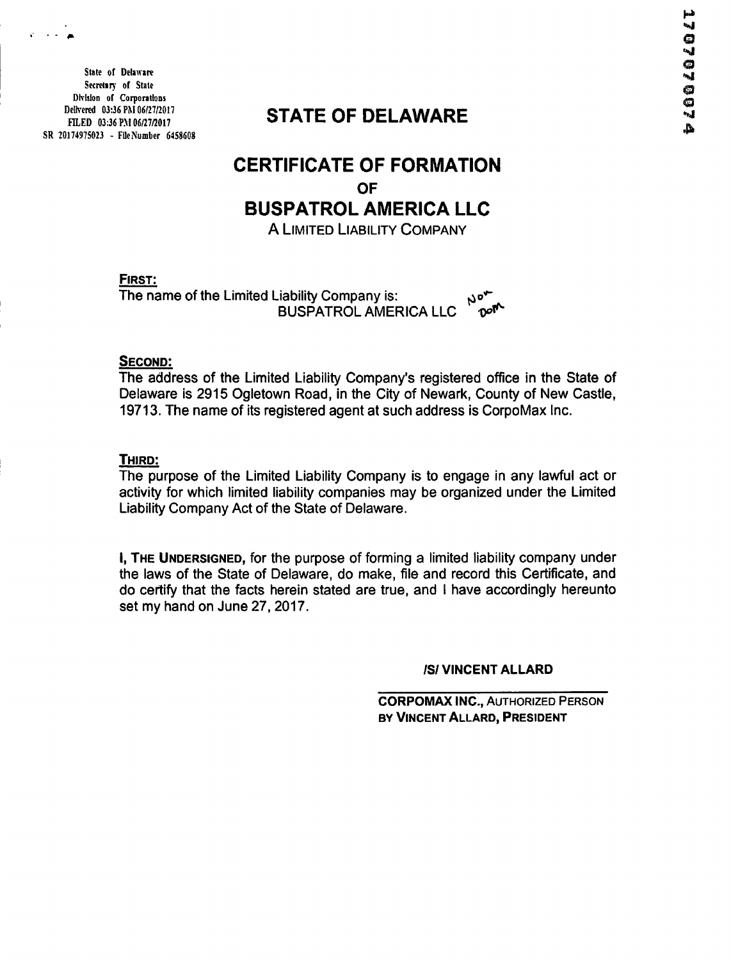State of Delaware Secretary of State Division of Corporations Delivered 03:36 PM 06/27/2017 PILED 03:36 PM 06/27/2017 SR 2017497S023 - FIleNumber 6458608

## STATE OF DELAWARE

## CERTIFICATE OF FORMATION **OF** BUSPATROL AMERICA LLC

A LIMITED LIABILITY COMPANY

FIRST:

 $n^{\sigma_{\star}}$ The name of the Limited Liability Company is: BUSPATROL AMERICA LLC ഹ്

#### SECOND:

The address of the Limited Liability Company's registered office in the State of Delaware is 2915 Ogletown Road, in the City of Newark, County of New Castle, 19713. The name of its registered agent at such address is CorpoMax Inc.

#### THIRD:

The purpose of the Limited Liability Company is to engage in any lawful act or activity for which limited liability companies may be organized under the Limited Liability Company Act of the State of Delaware.

I, THE UNDERSIGNED, for the purpose of forming a limited liability company under the laws of the State of Delaware, do make, file and record this Certificate, and do certify that the facts herein stated are true, and I have accordingly hereunto set my hand on June 27, 2017.

#### ISI VINCENT ALLARD

CORPOMAX INC., AUTHORIZED PERSON BY VINCENT ALLARD, PRESIDENT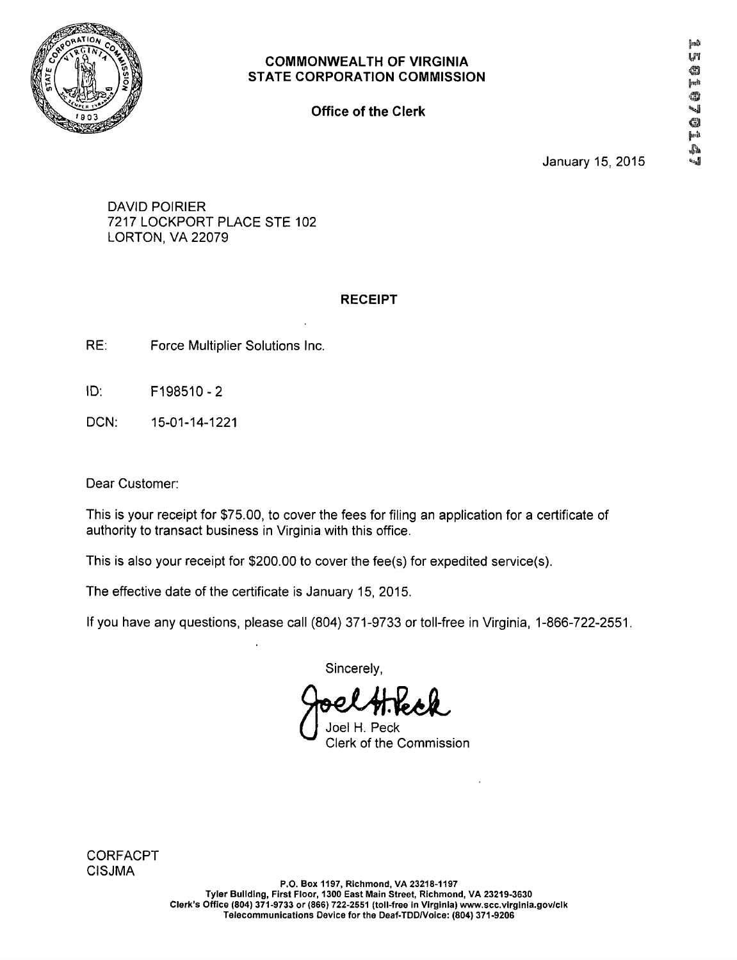

**Office of the Clerk** 

January 15, 2015

DAVID POIRIER 7217 LOCKPORT PLACE STE 102 LORTON, VA 22079

#### **RECEIPT**

- RE: Force Multiplier Solutions Inc.
- ID: F198510-2
- DCN: 15-01-14-1221

Dear Customer:

This is your receipt for \$75.00, to cover the fees for filing an application for a certificate of authority to transact business in Virginia with this office.

This is also your receipt for \$200.00 to cover the fee(s) for expedited service(s).

The effective date of the certificate is January 15, 2015.

Ifyou have any questions, please call (804) 371-9733 ortoll-free in Virginia, 1-866-722-2551.

Sincerely,

Joel H. Peck Clerk of the Commission

**CORFACPT** CISJMA

P.O. Box 1197, Richmond, VA 23218-1197 Tyler Building, First Floor, 1300 East Main Street, Richmond, VA 23219-3630 Clerk's Office (804) 371-9733 or (866) 722-2551 (toll-free in Virginia) www.scc.virglnia.gov/clk Telecommunications Device for the Deaf-TDDA/oice: (804) 371-9206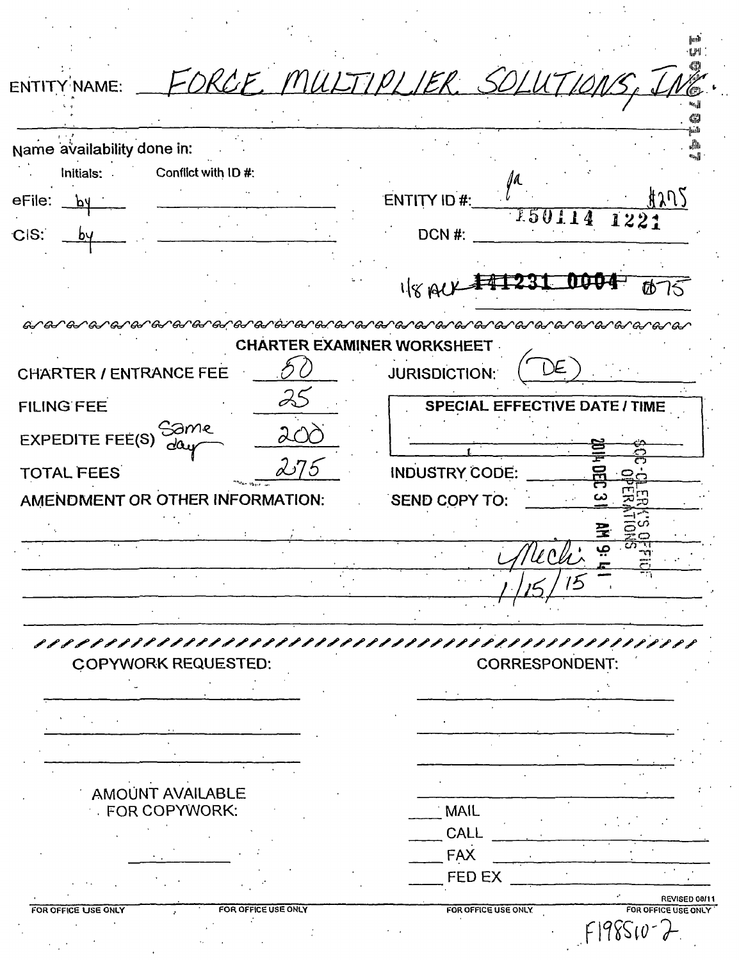| Name availability done in:<br>Initials: Conflict with ID #: |     |                                                 |
|-------------------------------------------------------------|-----|-------------------------------------------------|
| eFile:                                                      |     | <u>ี 1205</u><br>ENTITY ID #:                   |
| CIS:                                                        |     | $\frac{l}{150114}$<br>1221<br>DCN#:             |
|                                                             |     | 1840                                            |
| <i>େ ଉ- ଉ- ଉ- ଉ- ଉ-</i>                                     |     |                                                 |
|                                                             |     | <b>CHARTER EXAMINER WORKSHEET</b>               |
| CHARTER / ENTRANCE FEE                                      |     | <b>JURISDICTION:</b>                            |
| <b>FILING FEE</b>                                           |     | <b>SPECIAL EFFECTIVE DATE / TIME</b>            |
| Same<br>da.<br><b>EXPEDITE FEE(S)</b>                       |     |                                                 |
| <b>TOTAL FEES</b>                                           | 275 | <b>INDUSTRY CODE:</b>                           |
| AMENDMENT OR OTHER INFORMATION:                             |     | SEND COPY TO:                                   |
|                                                             |     |                                                 |
|                                                             |     |                                                 |
|                                                             |     |                                                 |
|                                                             |     |                                                 |
| ,,,,,,,,,,,,,,,,,,,,,,,,,,,,<br><b>COPYWORK REQUESTED:</b>  |     | PPPPPPPPPPPPPPPPPPPPPP<br><b>CORRESPONDENT:</b> |
|                                                             |     |                                                 |
|                                                             |     |                                                 |
|                                                             |     |                                                 |
|                                                             |     |                                                 |
| <b>AMOUNT AVAILABLE</b><br><b>FOR COPYWORK:</b>             |     | <b>MAIL</b>                                     |
|                                                             |     | CALL                                            |
|                                                             |     | <b>FAX</b>                                      |
|                                                             |     | <b>FED EX</b>                                   |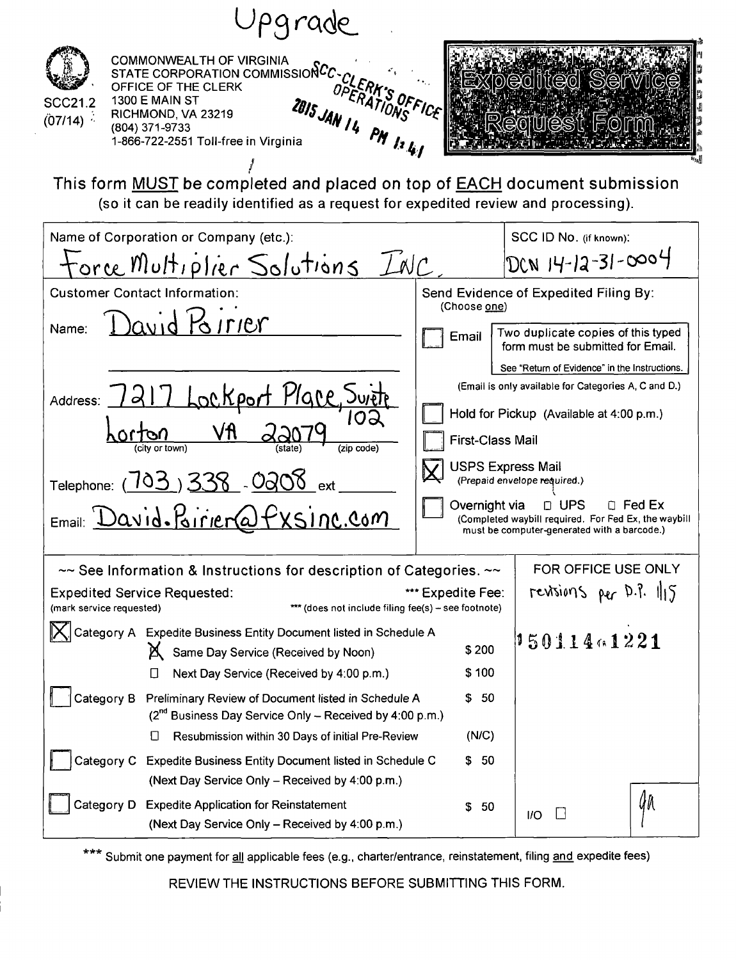| COMMONWEALTH OF VIRGINIA<br>STATE CORPORATION COMMISSIONCE CLERK<br>TEICE OF THE CLERK<br><b>TEICE OF THE CLERK</b><br><b>THE CLERK</b><br><b>SCC21.2</b><br>2015 JAN 14 PM 12 41<br>(07/14)<br>(804) 371-9733<br>1-866-722-2551 Toll-free in Virginia | pedited Service<br>HF(0)                                                                                                                                              |
|--------------------------------------------------------------------------------------------------------------------------------------------------------------------------------------------------------------------------------------------------------|-----------------------------------------------------------------------------------------------------------------------------------------------------------------------|
| This form MUST be completed and placed on top of <b>EACH</b> document submission<br>(so it can be readily identified as a request for expedited review and processing).                                                                                |                                                                                                                                                                       |
| Name of Corporation or Company (etc.):<br><u>torce Multiplier</u> Solutions INC                                                                                                                                                                        | SCC ID No. (if known):<br>DCN 14-12-31-0004                                                                                                                           |
| <b>Customer Contact Information:</b>                                                                                                                                                                                                                   | Send Evidence of Expedited Filing By:<br>(Choose one)                                                                                                                 |
| David Poirrer<br>Name:                                                                                                                                                                                                                                 | Two duplicate copies of this typed<br>Email<br>form must be submitted for Email.                                                                                      |
| 7 Lockport Place, 5<br>$\vert$ d $\vert$<br>Address:<br>٧fl<br>citv or town)                                                                                                                                                                           | See "Return of Evidence" in the Instructions.<br>(Email is only available for Categories A, C and D.)<br>Hold for Pickup (Available at 4:00 p.m.)<br>First-Class Mail |
| Telephone: (703) 338 - 0208 ext<br>$E_{\text{mail}}$ $David\text{-}Birier@f$<br>nc.Com                                                                                                                                                                 | <b>USPS Express Mail</b><br>(Prepaid envelope required.)<br>$\Box$ UPS<br>Overnight via<br>□ Fed Ex<br>(Completed waybill required. For Fed Ex, the waybill           |
|                                                                                                                                                                                                                                                        | must be computer-generated with a barcode.)                                                                                                                           |
| $\sim$ See Information & Instructions for description of Categories. $\sim$<br><b>Expedited Service Requested:</b><br>*** (does not include filing fee(s) - see footnote)<br>(mark service requested)                                                  | FOR OFFICE USE ONLY<br>revisions per D.P. 115<br>*** Expedite Fee:                                                                                                    |
| $ \mathsf{X} $ Category A Expedite Business Entity Document listed in Schedule A<br>X Same Day Service (Received by Noon)                                                                                                                              | 15011401221<br>\$200<br>\$100                                                                                                                                         |
| Next Day Service (Received by 4:00 p.m.)<br>Category B<br>Preliminary Review of Document listed in Schedule A<br>$(2^{nd}$ Business Day Service Only – Received by 4:00 p.m.)<br>Resubmission within 30 Days of initial Pre-Review                     | \$50<br>(N/C)                                                                                                                                                         |
| Category C<br><b>Expedite Business Entity Document listed in Schedule C</b><br>(Next Day Service Only - Received by 4:00 p.m.)                                                                                                                         | 50<br>\$                                                                                                                                                              |
| Category D Expedite Application for Reinstatement<br>(Next Day Service Only - Received by 4:00 p.m.)                                                                                                                                                   | ÛN<br>\$<br>50<br>1/O                                                                                                                                                 |

\*\*\* Submit one payment for all applicable fees (e.g., charter/entrance, reinstatement, filing and expedite fees)

REVIEW THE INSTRUCTIONS BEFORE SUBMITTING THIS FORM.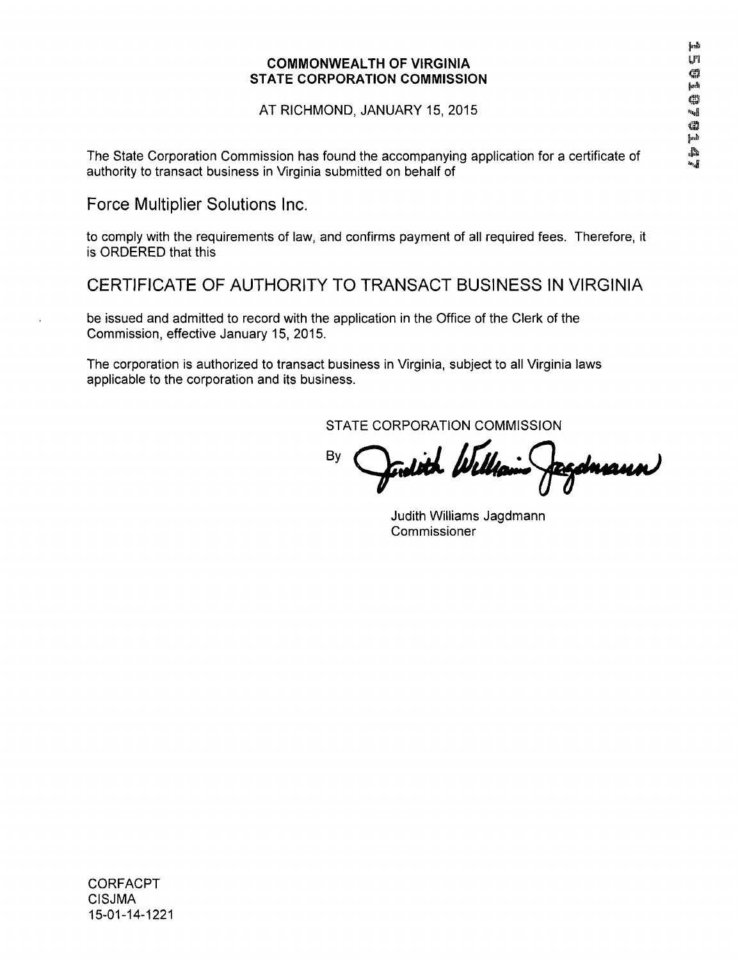AT RICHMOND, JANUARY 15, 2015

The State Corporation Commission has found the accompanying application for a certificate of \* authority to transact business in Virginia submitted on behalf of

**Force Multiplier Solutions Inc.** 

to comply with the requirements of law, and confirms payment of all required fees. Therefore, it is ORDERED that this

**CERTIFICATE OF AUTHORITY TO TRANSACT BUSINESS IN VIRGINIA** 

be issued and admitted to record with the application in the Office of the Clerk of the Commission, effective January 15, 2015.

The corporation is authorized to transact business in Virginia, subject to all Virginia laws applicable to the corporation and its business.

STATE CORPORATION COMMISSION

By dnaun

Judith Williams Jagdmann Commissioner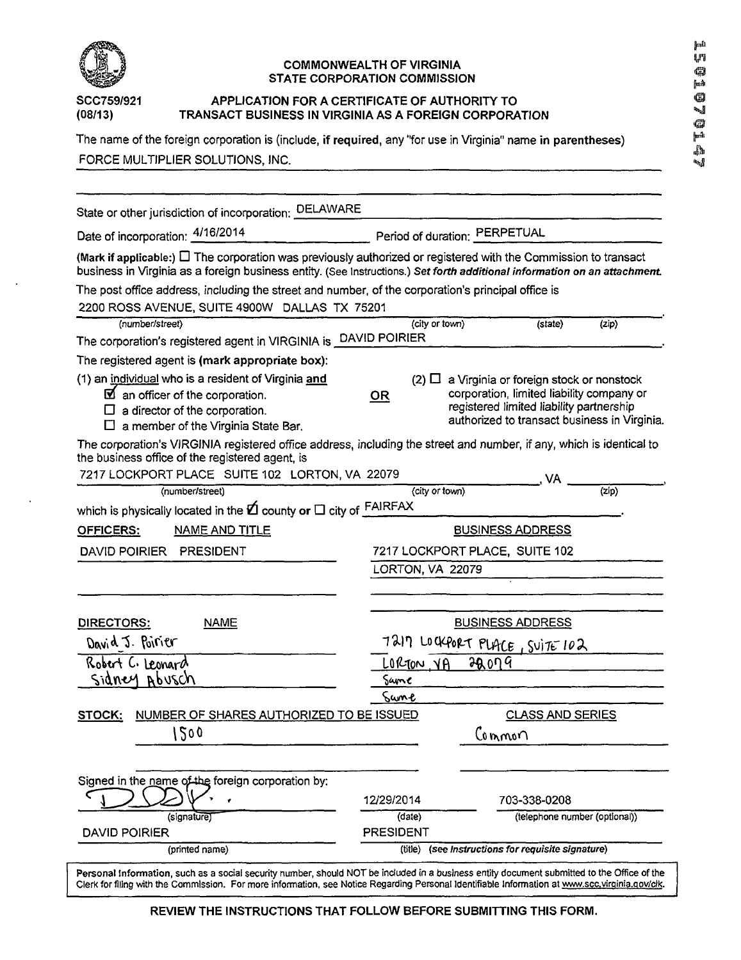

#### SCC759/921 APPLICATION FOR A CERTIFICATE OF AUTHORITY TO (08/13) **TRANSACT BUSINESS IN VIRGINIA AS A FOREIGN CORPORA (08/13) TRANSACT BUSINESS IN VIRGINIA AS A FOREIGN CORPORATION**

The name of the foreign corporation is (include, if required, any "for use in Virginia" name in parentheses) FORCE MULTIPLIER SOLUTIONS, INC.

### Force Multiplier Solutions, Inc. Second Multiplier Solution Second Second Second Second Second Second Second S

| State or other jurisdiction of incorporation: DELAWARE                                                                                                                                                                                            |                                                       |                                                      |                                                                                                                                       |                             |  |
|---------------------------------------------------------------------------------------------------------------------------------------------------------------------------------------------------------------------------------------------------|-------------------------------------------------------|------------------------------------------------------|---------------------------------------------------------------------------------------------------------------------------------------|-----------------------------|--|
| Date of incorporation: 4/16/2014<br>Period of duration: PERPETUAL                                                                                                                                                                                 |                                                       |                                                      |                                                                                                                                       |                             |  |
| (Mark if applicable:) $\Box$ The corporation was previously authorized or registered with the Commission to transact<br>business in Virginia as a foreign business entity. (See Instructions.) Set forth additional information on an attachment. |                                                       |                                                      |                                                                                                                                       |                             |  |
| The post office address, including the street and number, of the corporation's principal office is                                                                                                                                                |                                                       |                                                      |                                                                                                                                       |                             |  |
| 2200 ROSS AVENUE, SUITE 4900W DALLAS TX 75201                                                                                                                                                                                                     |                                                       |                                                      |                                                                                                                                       |                             |  |
| (number/street)                                                                                                                                                                                                                                   | (city or town)                                        |                                                      | (state)                                                                                                                               | (zip)                       |  |
| The corporation's registered agent in VIRGINIA is DAVID POIRIER                                                                                                                                                                                   |                                                       |                                                      |                                                                                                                                       |                             |  |
| The registered agent is (mark appropriate box):                                                                                                                                                                                                   |                                                       |                                                      |                                                                                                                                       |                             |  |
| (1) an individual who is a resident of Virginia and<br>$\boxtimes$ an officer of the corporation.<br>$\Box$ a director of the corporation.<br>$\Box$ a member of the Virginia State Bar.                                                          | <b>OR</b>                                             | $(2)$ $\Box$ a Virginia or foreign stock or nonstock | corporation, limited liability company or<br>registered limited liability partnership<br>authorized to transact business in Virginia. |                             |  |
| The corporation's VIRGINIA registered office address, including the street and number, if any, which is identical to<br>the business office of the registered agent, is<br>7217 LOCKPORT PLACE SUITE 102 LORTON, VA 22079                         |                                                       |                                                      |                                                                                                                                       |                             |  |
| (number/street)                                                                                                                                                                                                                                   | (city or town)                                        |                                                      | $\overline{\phantom{a}}$ , VA                                                                                                         | $\overline{(\mathsf{zip})}$ |  |
| which is physically located in the $2$ county or $\Box$ city of $\frac{\text{FAIRFAX}}{\text{AII}}$                                                                                                                                               |                                                       |                                                      |                                                                                                                                       |                             |  |
| <b>OFFICERS:</b><br><b>NAME AND TITLE</b>                                                                                                                                                                                                         |                                                       | <b>BUSINESS ADDRESS</b>                              |                                                                                                                                       |                             |  |
| <b>DAVID POIRIER</b><br>PRESIDENT                                                                                                                                                                                                                 | 7217 LOCKPORT PLACE, SUITE 102                        |                                                      |                                                                                                                                       |                             |  |
|                                                                                                                                                                                                                                                   | LORTON, VA 22079                                      |                                                      |                                                                                                                                       |                             |  |
|                                                                                                                                                                                                                                                   |                                                       |                                                      |                                                                                                                                       |                             |  |
|                                                                                                                                                                                                                                                   |                                                       |                                                      |                                                                                                                                       |                             |  |
| DIRECTORS:<br><b>NAME</b>                                                                                                                                                                                                                         | <b>BUSINESS ADDRESS</b>                               |                                                      |                                                                                                                                       |                             |  |
| David J. Poirier                                                                                                                                                                                                                                  | T217 LOCKPORT PLACE, SUITE 102                        |                                                      |                                                                                                                                       |                             |  |
| Robert C. Leonard                                                                                                                                                                                                                                 | LORTON YA                                             | 2009                                                 |                                                                                                                                       |                             |  |
| sidney abusch                                                                                                                                                                                                                                     | Same                                                  |                                                      |                                                                                                                                       |                             |  |
|                                                                                                                                                                                                                                                   | Sune                                                  |                                                      |                                                                                                                                       |                             |  |
| NUMBER OF SHARES AUTHORIZED TO BE ISSUED<br>STOCK:                                                                                                                                                                                                |                                                       |                                                      | <b>CLASS AND SERIES</b>                                                                                                               |                             |  |
| 500                                                                                                                                                                                                                                               | Common                                                |                                                      |                                                                                                                                       |                             |  |
|                                                                                                                                                                                                                                                   |                                                       |                                                      |                                                                                                                                       |                             |  |
|                                                                                                                                                                                                                                                   |                                                       |                                                      |                                                                                                                                       |                             |  |
| Signed in the name of the foreign corporation by:                                                                                                                                                                                                 |                                                       |                                                      |                                                                                                                                       |                             |  |
|                                                                                                                                                                                                                                                   | 12/29/2014                                            |                                                      | 703-338-0208                                                                                                                          |                             |  |
| (signature)<br><b>DAVID POIRIER</b>                                                                                                                                                                                                               | (date)<br><b>PRESIDENT</b>                            |                                                      | (telephone number (optional))                                                                                                         |                             |  |
| (printed name)                                                                                                                                                                                                                                    | (see Instructions for requisite signature)<br>(title) |                                                      |                                                                                                                                       |                             |  |

**REVIEW THE INSTRUCTIONS THAT FOLLOW BEFORE SUBMITTING THIS FORM.**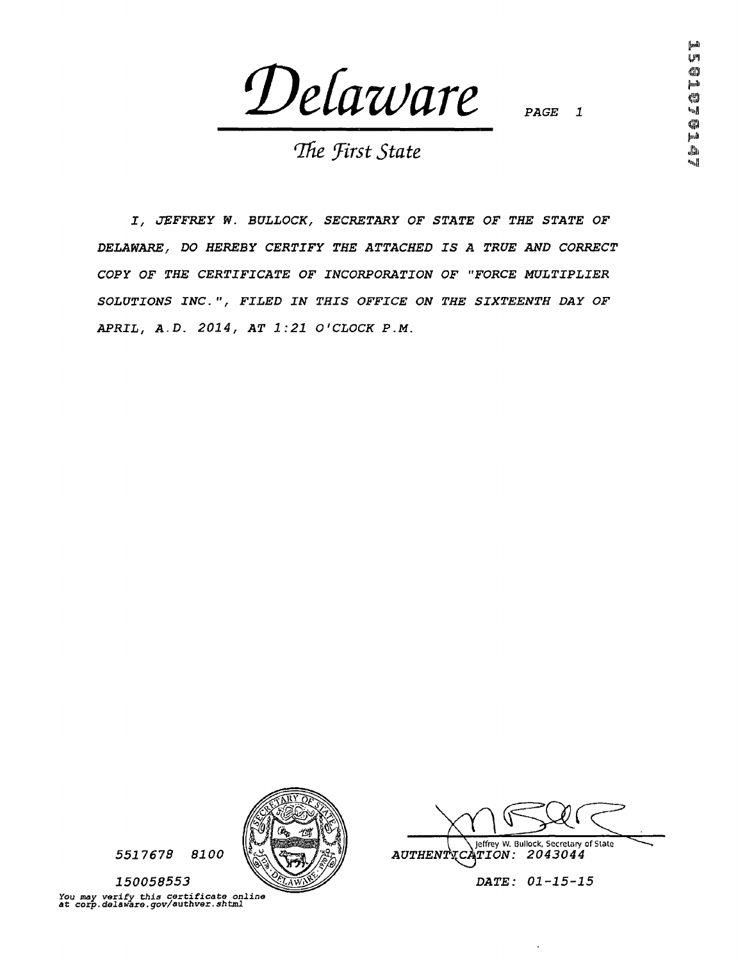*(DeCazvare* 

 $PAGE$ 

*"Ihe Jirst State* 

*J, JEFFREY W. BULLOCK, SECRETARY OF STATE OF THE STATE OF DELAWARE, DO HEREBY CERTIFY THE ATTACHED IS A TRUE AND CORRECT COPY OF THE CERTIFICATE OF INCORPORATION OF "FORCE MULTIPLIER SOLUTIONS INC.", FILED IN THIS OFFICE ON THE SIXTEENTH DAY OF APRIL, A.D. 2014, AT 1:21 O'CLOCK P.M.* 



*5517678 8100* 

*150058553 You may verify this certificate online at corp.delaware.gov/authver.shtml* 

AUTHENT**XCATION: 2043044 | \ Jeffrey W. Bullock, Secretary of State** 

*DATE: 01-15-15*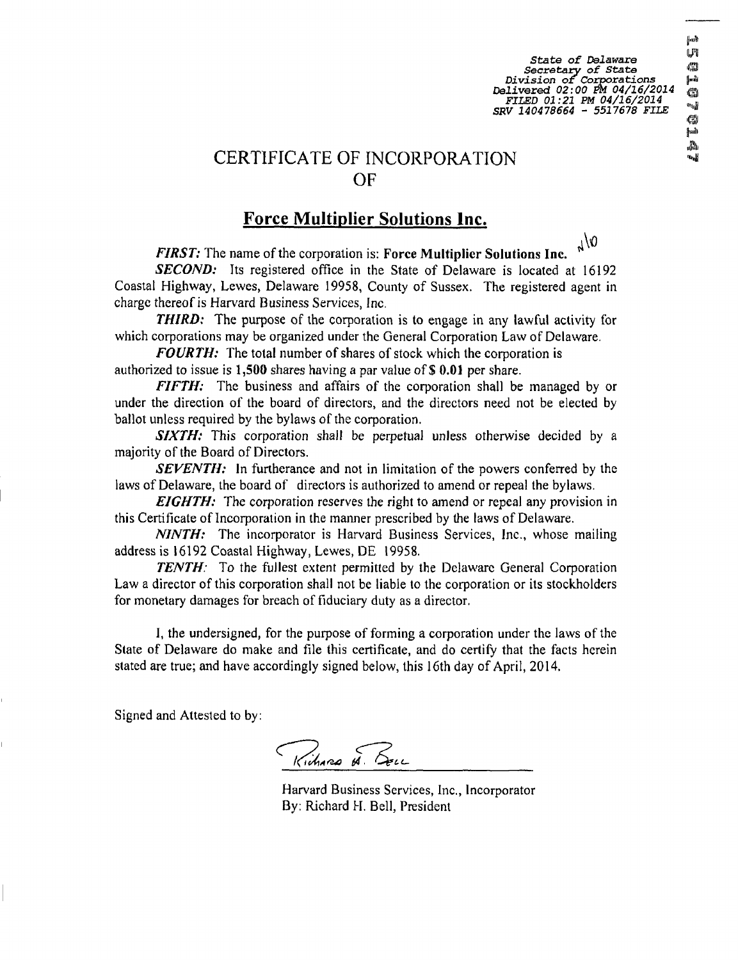*State of Delaware Secretary of State « Division of Corporations p Delivered 02:00 M 04/16/2014 m FILED 01:21 PM 04/16/2014 \*f SRV 140478664 - 5517678 FILE* 

#### **Force Multiplier Solutions Inc.**

0\ر FIRST: The name of the corporation is: Force Multiplier Solutions Inc.

**SECOND:** Its registered office in the State of Delaware is located at 16192 Coastal Highway, Lewes, Delaware 19958, County of Sussex. The registered agent in charge thereof is Harvard Business Services, Inc.

**THIRD:** The purpose of the corporation is to engage in any lawful activity for which corporations may be organized under the General Corporation Law of Delaware.

FOURTH: The total number of shares of stock which the corporation is authorized to issue is 1,500 shares having a par value of \$ 0.01 per share.

FIFTH: The business and affairs of the corporation shall be managed by or under the direction of the board of directors, and the directors need not be elected by ballot unless required by the bylaws of the corporation.

SIXTH: This corporation shall be perpetual unless otherwise decided by a majority of the Board of Directors.

SEVENTH: In furtherance and not in limitation of the powers conferred by the laws of Delaware, the board of directors is authorized to amend or repeal the bylaws.

**EIGHTH:** The corporation reserves the right to amend or repeal any provision in this Certificate oflncorporation in the manner prescribed by the laws of Delaware.

NINTH: The incorporator is Harvard Business Services, Inc., whose mailing address is 16192 Coastal Highway, Lewes, DE 19958.

TENTH: To the fullest extent permitted by the Delaware General Corporation Law a director of this corporation shall not be liable to the corporation or its stockholders for monetary damages for breach of fiduciary duty as a director.

I, the undersigned, for the purpose of forming a corporation under the laws of the State of Delaware do make and file this certificate, and do certify that the facts herein stated are true; and have accordingly signed below, this 16th day of April, 2014.

Signed and Attested to by:

Richard H. Bell

Harvard Business Services, Inc., Incorporator By: Richard H. Bell, President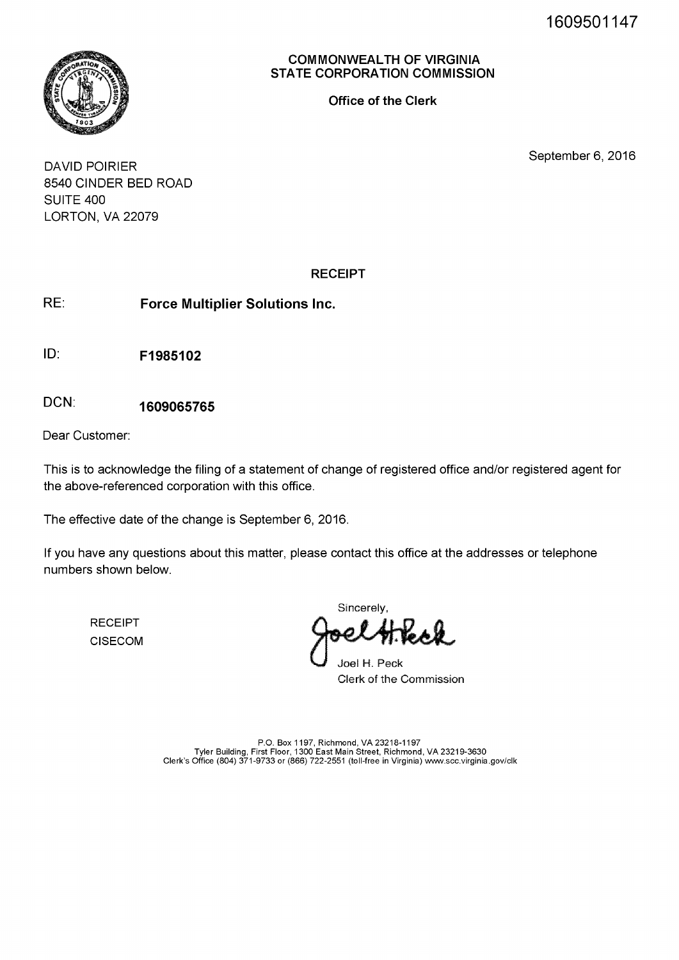1609501147



COMMONWEALTH OF VIRGINIA STATE CORPORATION COMMISSION

Office of the Clerk

September 6, 2016

DAVID POIRIER 8540 CINDER BED ROAD SUITE 400 LORTON, VA 22079

#### RECEIPT

RE: Force Multiplier Solutions Inc.

ID: F1985102

DCN: 1609065765

Dear Customer:

This is to acknowledge the filing of a statement of change of registered office and/or registered agent for the above-referenced corporation with this office.

The effective date of the change is September 6, 2016.

If you have any questions about this matter, please contact this office at the addresses or telephone numbers shown below.

RECEIPT CISECOM

**Sincerely** 

Joel H. Peck Clerk of the Commission

P.O. Box 1197, Richmond, VA 23218-1197<br>Tyler Building, First Floor, 1300 East Main Street, Richmond, VA 23219-3630<br>Clerk's Office (804) 371-9733 or (866) 722-2551 (toll-free in Virginia) www.scc.virginia.gov/clk